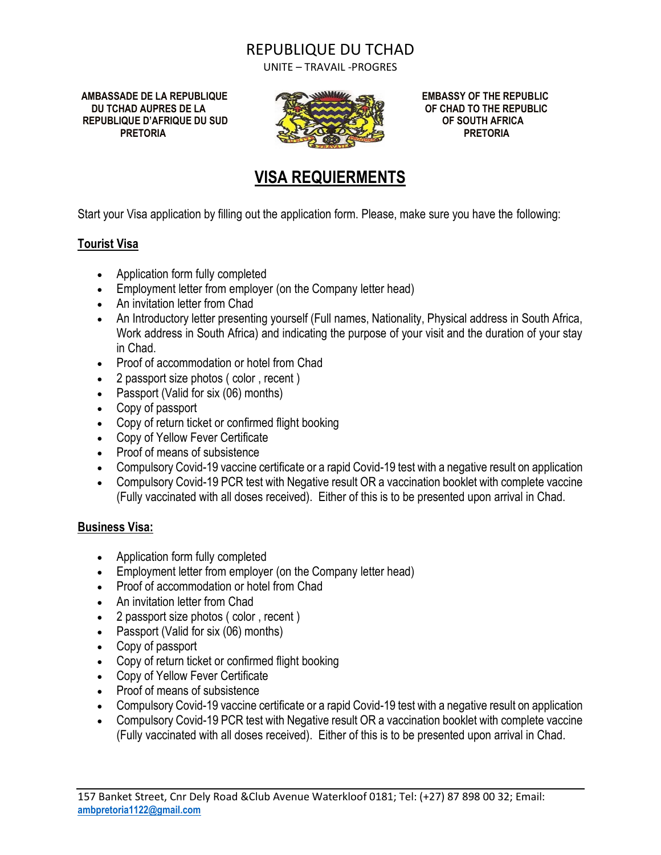## REPUBLIQUE DU TCHAD

UNITE – TRAVAIL -PROGRES

**AMBASSADE DE LA REPUBLIQUE EMBASSY OF THE REPUBLIC DU TCHAD AUPRES DE LA OF CHAD TO THE REPUBLIC REPUBLIQUE D'AFRIQUE DU SUD OF SOUTH AFRICA**



# **VISA REQUIERMENTS**

Start your Visa application by filling out the application form. Please, make sure you have the following:

#### **Tourist Visa**

- Application form fully completed
- Employment letter from employer (on the Company letter head)
- An invitation letter from Chad
- An Introductory letter presenting yourself (Full names, Nationality, Physical address in South Africa, Work address in South Africa) and indicating the purpose of your visit and the duration of your stay in Chad.
- Proof of accommodation or hotel from Chad
- 2 passport size photos ( color , recent )
- Passport (Valid for six (06) months)
- Copy of passport
- Copy of return ticket or confirmed flight booking
- Copy of Yellow Fever Certificate
- Proof of means of subsistence
- Compulsory Covid-19 vaccine certificate or a rapid Covid-19 test with a negative result on application
- Compulsory Covid-19 PCR test with Negative result OR a vaccination booklet with complete vaccine (Fully vaccinated with all doses received). Either of this is to be presented upon arrival in Chad.

#### **Business Visa:**

- Application form fully completed
- Employment letter from employer (on the Company letter head)
- Proof of accommodation or hotel from Chad
- An invitation letter from Chad
- 2 passport size photos ( color, recent )
- Passport (Valid for six (06) months)
- Copy of passport
- Copy of return ticket or confirmed flight booking
- Copy of Yellow Fever Certificate
- Proof of means of subsistence
- Compulsory Covid-19 vaccine certificate or a rapid Covid-19 test with a negative result on application
- Compulsory Covid-19 PCR test with Negative result OR a vaccination booklet with complete vaccine (Fully vaccinated with all doses received). Either of this is to be presented upon arrival in Chad.